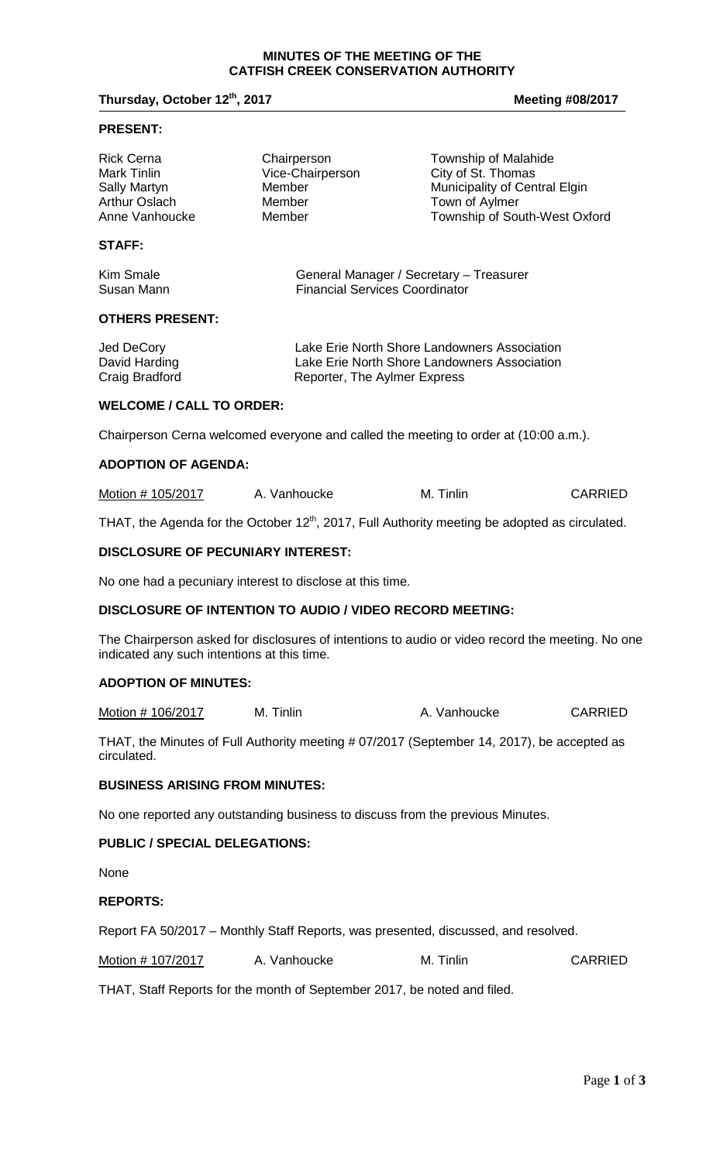## **Thursday, October 12<sup>th</sup>, 2017 Meeting #08/2017 Meeting #08/2017**

#### **PRESENT:**

| <b>Rick Cerna</b>    | Chairperson      | Township of Malahide          |
|----------------------|------------------|-------------------------------|
| Mark Tinlin          | Vice-Chairperson | City of St. Thomas            |
| <b>Sally Martyn</b>  | Member           | Municipality of Central Elgin |
| <b>Arthur Oslach</b> | Member           | Town of Aylmer                |
| Anne Vanhoucke       | Member           | Township of South-West Oxford |
|                      |                  |                               |

## **STAFF:**

| Kim Smale  | General Manager / Secretary - Treasurer |
|------------|-----------------------------------------|
| Susan Mann | <b>Financial Services Coordinator</b>   |

#### **OTHERS PRESENT:**

| Jed DeCory     | Lake Erie North Shore Landowners Association |
|----------------|----------------------------------------------|
| David Harding  | Lake Erie North Shore Landowners Association |
| Craig Bradford | Reporter, The Aylmer Express                 |

#### **WELCOME / CALL TO ORDER:**

Chairperson Cerna welcomed everyone and called the meeting to order at (10:00 a.m.).

# **ADOPTION OF AGENDA:**

| Motion # 105/2017<br>A. Vanhoucke | M. Tinlin | <b>CARRIED</b> |
|-----------------------------------|-----------|----------------|
|-----------------------------------|-----------|----------------|

THAT, the Agenda for the October  $12<sup>th</sup>$ , 2017, Full Authority meeting be adopted as circulated.

#### **DISCLOSURE OF PECUNIARY INTEREST:**

No one had a pecuniary interest to disclose at this time.

#### **DISCLOSURE OF INTENTION TO AUDIO / VIDEO RECORD MEETING:**

The Chairperson asked for disclosures of intentions to audio or video record the meeting. No one indicated any such intentions at this time.

#### **ADOPTION OF MINUTES:**

Motion # 106/2017 M. Tinlin M. Tinlin A. Vanhoucke CARRIED

THAT, the Minutes of Full Authority meeting # 07/2017 (September 14, 2017), be accepted as circulated.

#### **BUSINESS ARISING FROM MINUTES:**

No one reported any outstanding business to discuss from the previous Minutes.

#### **PUBLIC / SPECIAL DELEGATIONS:**

None

## **REPORTS:**

Report FA 50/2017 – Monthly Staff Reports, was presented, discussed, and resolved.

| Motion # 107/2017 | A. Vanhoucke | M. Tinlin | <b>CARRIED</b> |
|-------------------|--------------|-----------|----------------|
|-------------------|--------------|-----------|----------------|

THAT, Staff Reports for the month of September 2017, be noted and filed.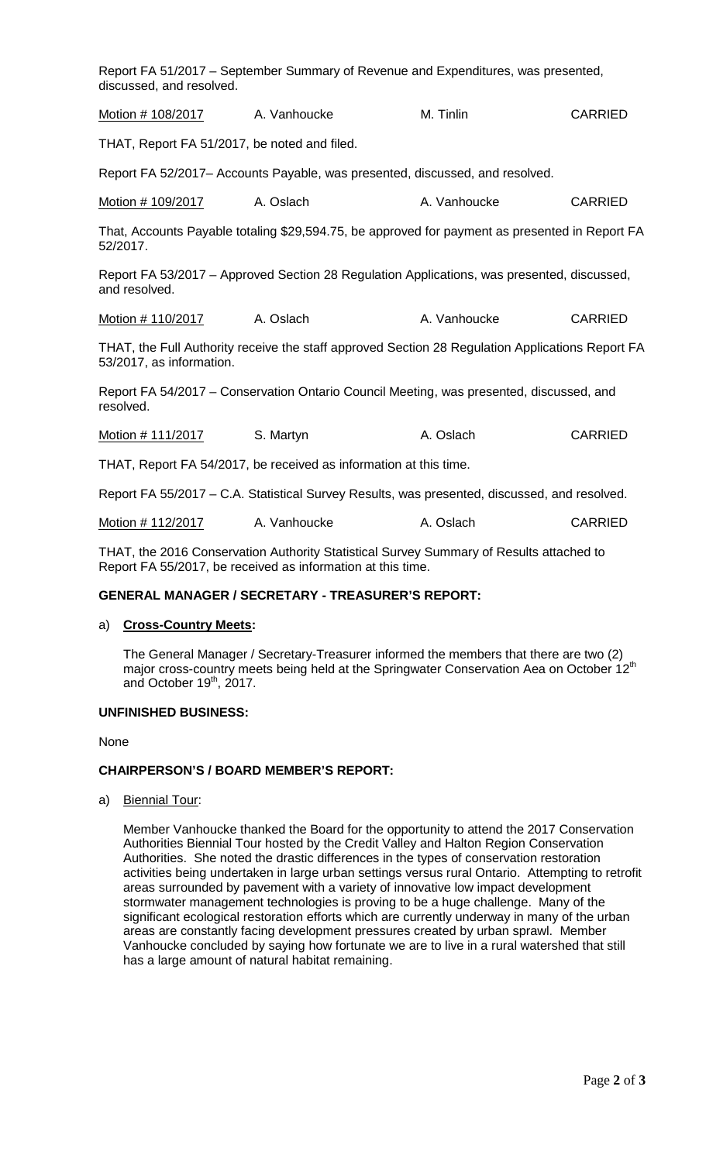| discussed, and resolved.                                                                                                                               | Report FA 51/2017 – September Summary of Revenue and Expenditures, was presented,              |              |                |  |  |
|--------------------------------------------------------------------------------------------------------------------------------------------------------|------------------------------------------------------------------------------------------------|--------------|----------------|--|--|
| Motion # 108/2017                                                                                                                                      | A. Vanhoucke                                                                                   | M. Tinlin    | <b>CARRIED</b> |  |  |
| THAT, Report FA 51/2017, be noted and filed.                                                                                                           |                                                                                                |              |                |  |  |
|                                                                                                                                                        | Report FA 52/2017- Accounts Payable, was presented, discussed, and resolved.                   |              |                |  |  |
| Motion # 109/2017                                                                                                                                      | A. Oslach                                                                                      | A. Vanhoucke | <b>CARRIED</b> |  |  |
| 52/2017.                                                                                                                                               | That, Accounts Payable totaling \$29,594.75, be approved for payment as presented in Report FA |              |                |  |  |
| and resolved.                                                                                                                                          | Report FA 53/2017 – Approved Section 28 Regulation Applications, was presented, discussed,     |              |                |  |  |
| Motion # 110/2017                                                                                                                                      | A. Oslach                                                                                      | A. Vanhoucke | <b>CARRIED</b> |  |  |
| THAT, the Full Authority receive the staff approved Section 28 Regulation Applications Report FA<br>53/2017, as information.                           |                                                                                                |              |                |  |  |
| resolved.                                                                                                                                              | Report FA 54/2017 - Conservation Ontario Council Meeting, was presented, discussed, and        |              |                |  |  |
| Motion # 111/2017                                                                                                                                      | S. Martyn                                                                                      | A. Oslach    | <b>CARRIED</b> |  |  |
| THAT, Report FA 54/2017, be received as information at this time.                                                                                      |                                                                                                |              |                |  |  |
|                                                                                                                                                        | Report FA 55/2017 - C.A. Statistical Survey Results, was presented, discussed, and resolved.   |              |                |  |  |
| Motion # 112/2017                                                                                                                                      | A. Vanhoucke                                                                                   | A. Oslach    | <b>CARRIED</b> |  |  |
| THAT, the 2016 Conservation Authority Statistical Survey Summary of Results attached to<br>Report FA 55/2017, be received as information at this time. |                                                                                                |              |                |  |  |

# **GENERAL MANAGER / SECRETARY - TREASURER'S REPORT:**

#### a) **Cross-Country Meets:**

The General Manager / Secretary-Treasurer informed the members that there are two (2) major cross-country meets being held at the Springwater Conservation Aea on October 12<sup>th</sup> and October  $19<sup>th</sup>$ , 2017.

#### **UNFINISHED BUSINESS:**

None

#### **CHAIRPERSON'S / BOARD MEMBER'S REPORT:**

a) Biennial Tour:

Member Vanhoucke thanked the Board for the opportunity to attend the 2017 Conservation Authorities Biennial Tour hosted by the Credit Valley and Halton Region Conservation Authorities. She noted the drastic differences in the types of conservation restoration activities being undertaken in large urban settings versus rural Ontario. Attempting to retrofit areas surrounded by pavement with a variety of innovative low impact development stormwater management technologies is proving to be a huge challenge. Many of the significant ecological restoration efforts which are currently underway in many of the urban areas are constantly facing development pressures created by urban sprawl. Member Vanhoucke concluded by saying how fortunate we are to live in a rural watershed that still has a large amount of natural habitat remaining.